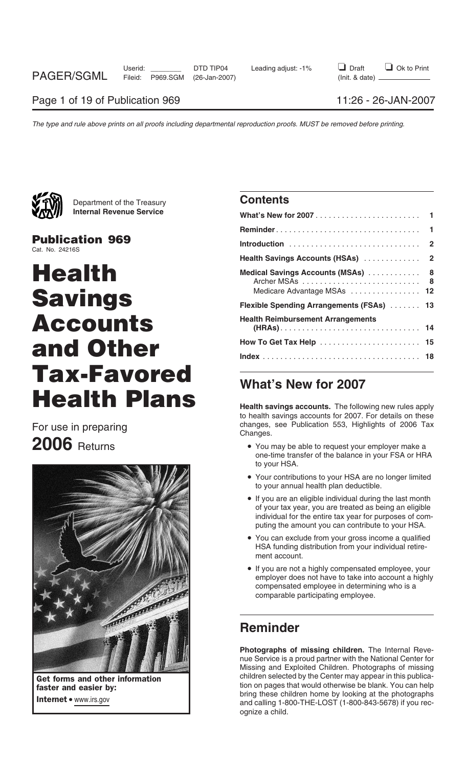

Department of the Treasury **Contents Internal Revenue Service** 

**Publication 969** Cat. No. 24216S

# **Health Medical Savings Accounts (MSAs)** ............ **<sup>8</sup>**  $Savings$  $Accounds$ **And Other Tax-Favored What's New for 2007 Health Plans Health savings accounts.** The following new rules apply



|                                           | 1              |
|-------------------------------------------|----------------|
|                                           | $\mathbf{2}$   |
| Health Savings Accounts (HSAs)            | $\overline{2}$ |
| Medical Savings Accounts (MSAs)  8        | 8              |
| Medicare Advantage MSAs  12               |                |
| Flexible Spending Arrangements (FSAs)  13 |                |
| <b>Health Reimbursement Arrangements</b>  |                |
|                                           |                |
|                                           |                |

to health savings accounts for 2007. For details on these For use in preparing and the changes, see Publication 553, Highlights of 2006 Tax<br>Changes.<br>**2006** Returns **Changes** Pou may be able to request your employer make a

- You may be able to request your employer make a one-time transfer of the balance in your FSA or HRA to your HSA.
- Your contributions to your HSA are no longer limited to your annual health plan deductible.
- If you are an eligible individual during the last month of your tax year, you are treated as being an eligible individual for the entire tax year for purposes of computing the amount you can contribute to your HSA.
- You can exclude from your gross income a qualified HSA funding distribution from your individual retirement account.
- If you are not a highly compensated employee, your employer does not have to take into account a highly compensated employee in determining who is a comparable participating employee.

## **Reminder**

**Photographs of missing children.** The Internal Revenue Service is a proud partner with the National Center for Missing and Exploited Children. Photographs of missing Get forms and other information children selected by the Center may appear in this publica-<br>
faster and easier by:<br>  $\begin{array}{ccc}\n & \text{children} & \text{selected by the Center may appear in this publica-} \\
 & \text{tion on pages that would otherwise be blank. You can help\n\end{array}$ the care on pages that would out the photographs.<br>Internet • www.irs.gov and calling 1-800-THE-LOST (1-800-843-5678) if you recognize a child.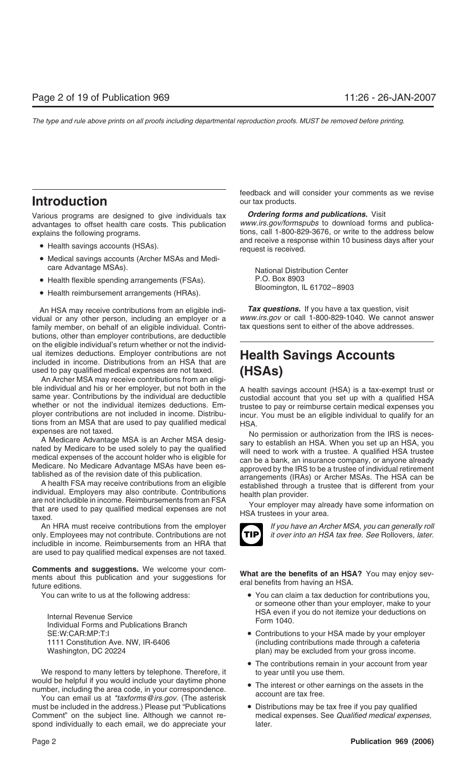## **Introduction** our tax products.

Various programs are designed to give individuals tax *Ordering forms and publications.* Visit advantages to offset health care costs. This publication *www.irs.gov/formspubs* to download forms and publicaexplains the following programs. The result of the state of the address below tions, call 1-800-829-3676, or write to the address below

- 
- Medical savings accounts (Archer MSAs and Medicare Advantage MSAs). National Distribution Center
- Health flexible spending arrangements (FSAs). P.O. Box 8903
- Health reimbursement arrangements (HRAs).

vidual or any other person, including an employer or a *www.irs.gov* or call 1-800-829-1040. We cannot an<br>family member, on behalf of an eligible individual. Contri- tax questions sent to either of the above addresses. family member, on behalf of an eligible individual. Contributions, other than employer contributions, are deductible on the eligible individual's return whether or not the individual itemizes deductions. Employer contributions are not **Health Savings Accounts** included in income. Distributions from an HSA that are used to pay qualified medical expenses are not taxed. (HSAs)

used to pay qualified medical expenses are not taxed. **(HSAs)** An Archer MSA may receive contributions from an eligible individual and his or her employer, but not both in the A health savings account (HSA) is a tax-exempt trust or<br>same year. Contributions by the individual are deductible custodial account that you set up with a qualifi

An HRA must receive contributions from the employer *If you have an Archer MSA, you can generally roll* only. Employees may not contribute. Contributions are not *it over into an HSA tax free. See* Rollovers, *later.* includible in income. Reimbursements from an HRA that are used to pay qualified medical expenses are not taxed.

**Comments and suggestions.** We welcome your com-<br>ments about this publication and your suggestions for what are the benefits of an HSA? You may enjoy sev-<br>future editions.

Internal Revenue Service<br>
Individual Forms and Publications Branch<br>
SE:W:CAR:MP:T:I **CAR:MP:T:I**<br>
SE:W:CAR:MP:T:I

We respond to many letters by telephone. Therefore, it to year until you use them.<br>would be helpful if you would include your daytime phone

must be included in the address.) Please put "Publications • Distributions may be tax free if you pay qualified Comment" on the subject line. Although we cannot re- medical expenses. See *Qualified medical expenses,* spond individually to each email, we do appreciate your later.

feedback and will consider your comments as we revise

and receive a response within 10 business days after your<br>• Health savings accounts (HSAs). request is received.

An HSA may receive contributions from an eligible indi-<br>dual or any other person, including an employer or a www.irs.gov or call 1-800-829-1040. We cannot answer

A Medicare Advantage MSA is an Archer MSA designation or authorization from the IRS is necessary to establish an HSA. When you set up an HSA, you will need to work with a trustee. A qualified medical expenses of the accoun



- You can write to us at the following address: • You can claim a tax deduction for contributions you, or someone other than your employer, make to your
	- Contributions to your HSA made by your employer 1111 Constitution Ave. NW, IR-6406 (including contributions made through a cafeteria Washington, DC 20224 **plan**) may be excluded from your gross income.
		- The contributions remain in your account from year
- number, including the area code, in your correspondence.<br>
You can email us at *\*taxforms@irs.gov*. (The asterisk account are tax free.
	-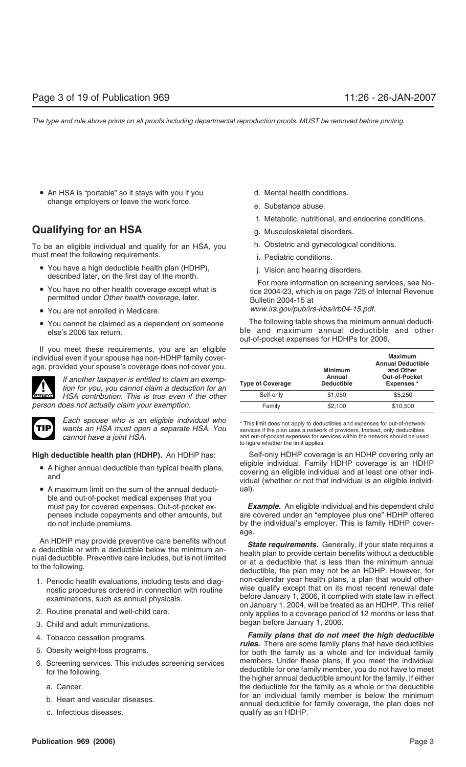• An HSA is "portable" so it stays with you if you d. Mental health conditions. change employers or leave the work force.<br>
e. Substance abuse.

## **Qualifying for an HSA** g. Musculoskeletal disorders.

To be an eligible individual and qualify for an HSA, you h. Obstetric and gynecological conditions. must meet the following requirements. The matter of the following requirements.

- 
- 
- 
- 

If you meet these requirements, you are an eligible individual even if your spouse has non-HDHP family coverage, provided your spouse's coverage does not cover you.





*Each spouse who is an eligible individual who*  $\overline{\phantom{a}}$  \* This limit does not apply to deductibles and expenses for out-of-network<br>**wants an HSA must open a separate HSA. You** services if the plan uses a network of pro

- 
- A maximum limit on the sum of the annual deducti- ual). ble and out-of-pocket medical expenses that you

An HDHP may provide preventive care benefits without<br>a deductible or with a deductible below the minimum an-<br>nual deductible. Preventive care includes, but is not limited<br>to the following.<br>deductible, the plan may not be a

- 
- 
- began before January 1, 2006. 3. Child and adult immunizations.
- 
- 
- -
	-
	- c. Infectious diseases. qualify as an HDHP.
- 
- 
- f. Metabolic, nutritional, and endocrine conditions.
- 
- 
- 
- 

<ul>\n<li> You have a high deductible health plan (HDHP), described later, on the first day of the month. \n You have no other health coverage except what is permitted under <i>Other health coverage</i>, later. \n <i>But the current time</i> is <i>the 2004-23</i>, which is on page 725 of Internal Revenue.</li>\n<li> 1. Vision and hearing disorders. \n For more information on screening services, see No-tice 2004-23, which is on page 725 of Internal Revenue.</li>\n</ul>

• You are not enrolled in Medicare. *www.irs.gov/pub/irs-irbs/irb04-15.pdf.*

• You cannot be claimed as a dependent on someone The following table shows the minimum annual deducti-<br>ble and maximum annual deductible and other ble and maximum annual deductible and other out-of-pocket expenses for HDHPs for 2006.

| II you lileet these requirements, you are all eligible<br>ndividual even if your spouse has non-HDHP family cover-<br>age, provided your spouse's coverage does not cover you. |                         | <b>Minimum</b>              | <b>Maximum</b><br><b>Annual Deductible</b><br>and Other |
|--------------------------------------------------------------------------------------------------------------------------------------------------------------------------------|-------------------------|-----------------------------|---------------------------------------------------------|
| If another taxpayer is entitled to claim an exemp-<br><b>AV</b><br>tion for you, you cannot claim a deduction for an                                                           | <b>Type of Coverage</b> | Annual<br><b>Deductible</b> | <b>Out-of-Pocket</b><br><b>Expenses</b> *               |
| HSA contribution. This is true even if the other<br><b>CAUTION</b>                                                                                                             | Self-only               | \$1,050                     | \$5,250                                                 |
| person does not actually claim your exemption.                                                                                                                                 | Family                  | \$2.100                     | \$10,500                                                |

services if the plan uses a network of providers. Instead, only deductibles *cannot have a joint HSA.* The same out-of-pocket expenses for services within the network should be used to figure whether the limit applies.

**High deductible health plan (HDHP).** An HDHP has: Self-only HDHP coverage is an HDHP covering only an eligible individual. Family HDHP coverage is an HDHP<br>-covering an eligible individual and at least one other indi-<br>-vidual (whether or not that individual is an eligible individual<br>-vidual (whether or not that individual i

must pay for covered expenses. Out-of-pocket ex- *Example.* An eligible individual and his dependent child penses include copayments and other amounts, but are covered under an "employee plus one" HDHP offered do not include premiums. by the individual's employer. This is family HDHP coverage.

1. Periodic health evaluations, including tests and diag-<br>
non-calendar year health plans, a plan that would other-<br>
nostic procedures ordered in connection with routine<br>
examinations, such as annual physicals.<br>
2. Routine

4. Tobacco cessation programs.<br>**Family plans that do not meet the high deductible**<br>5. Obesity weight-loss programs.<br>5. Obesity weight-loss programs.<br>**Family plans that do not meet the high deductibles**<br>for both the family 6. Screening services. This includes screening services members. Under these plans, if you meet the individual deductible for one family member, you do not have to meet<br>the higher annual deductible amount for the family. I a. Cancer. the deductible for the family as a whole or the deductible for an individual family member is below the minimum b. Heart and vascular diseases. annual deductible for family coverage, the plan does not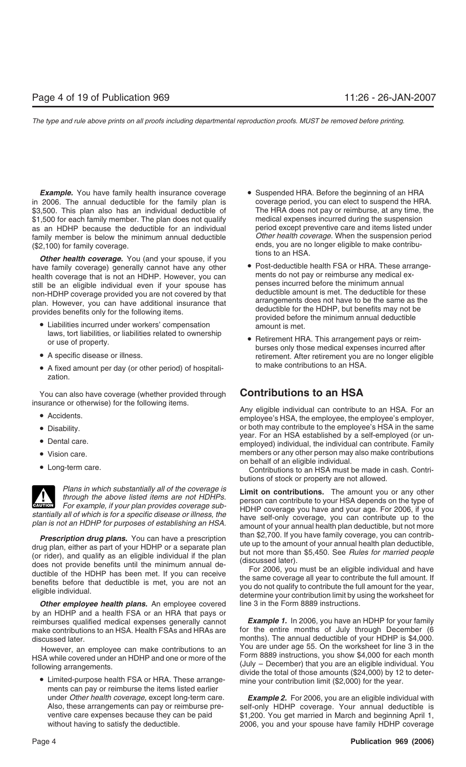**Example.** You have family health insurance coverage • Suspended HRA. Before the beginning of an HRA in 2006. The annual deductible for the family plan is coverage period, you can elect to suspend the HRA. \$3,500. This plan also has an individual deductible of The HRA does not pay or reimburse, at any time, the suspension<br>\$1,500 for each family member. The plan does not qualify medical expenses incurred during the suspension \$1,500 for each family member. The plan does not qualify medical expenses incurred during the suspension<br>as an HDHP because the deductible for an individual period except preventive care and items listed under as an HDHP because the deductible for an individual period except preventive care and items listed under<br>family member is below the minimum annual deductible *Other health coverage*. When the suspension period family member is below the minimum annual deductible *Other health coverage.* When the suspension period (\$2.100) for family coverage.

have family coverage) generally cannot have any other • Post-deductible health FSA or HRA. These arrange-<br>health coverage that is not an HDHP. However, you can hents do not pay or reimburse any medical exhealth coverage that is not an HDHP. However, you can ments do not pay or reimburse any medical ex-<br>etill he an eligible individual even if your spouse has penses incurred before the minimum annual

- 
- 
- A fixed amount per day (or other period) of hospitali-<br> **•** A fixed amount per day (or other period) of hospitalization.

You can also have coverage (whether provided through **Contributions to an HSA** insurance or otherwise) for the following items.

- 
- 
- 
- 
- 

**ENTION** For example, if your plan provides coverage sub-

**Prescription drug plans.** You can have a prescription<br>drug plan, either as part of your HDHP or a separate plan<br>(or rider), and qualify as an eligible individual if the plan<br>does not provide benefits until the minimum ann

**Other employee health plans.** An employee covered line 3 in the Form 8889 instructions. by an HDHP and a health FSA or an HRA that pays or reimburses qualified medical expenses generally cannot *Example 1.* In 2006, you have an HDHP for your family make contributions to an HSA. Health FSAs and HRAs are for the entire months of July through December (6 discussed later. months). The annual deductible of your HDHP is \$4,000.

ments can pay or reimburse the items listed earlier

- ends, you are no longer eligible to make contribu-<br> **Other health coverage.** You (and your spouse, if you<br>
have family coverage) generally cannot have any other<br> **COLOGY COVERGENS** OF HRA. These arrange-
- Still be an eligible individual even if your spouse has<br>
non-HDHP coverage provided you are not covered by that<br>
plan. However, you can have additional insurance that<br>
provides benefits only for the following items.<br>
 Lia
	- laws, tort liabilities, or liabilities related to ownership<br>or use of property.<br>• A specific disease or illness.<br>• A specific disease or illness.<br>• A specific disease or illness.

• Accidents. 
● Accidents. 
→ Accidents. 
→ Accidents. 
→ Accidents. 
→ Accidents. 
→ Accidents. 
→ Accidents. 
→ Accidents. 
→ Accidents. 
→ Accidents. 
→ Accidents. 
→ Accidents. 
→ Accidents. 
→ Accidents. 
→ Accidents • Disability.<br>year. For an HSA established by a self-employed (or un-<br>and the same wear. For an HSA established by a self-employed (or un-• Dental care. The self-employed individual, the individual can contribute. Family employed (or un-• Vision care. members or any other person may also make contributions<br>on behalf of an eligible individual.

• Long-term care. • Contributions to an HSA must be made in cash. Contributions of stock or property are not allowed.

Plans in which substantially all of the coverage is<br>through the above listed items are not HDHPs.<br>For example, if your plan provides coverage sub-<br>HDHP coverage you have and your age. For 2006, if you stantially all of which is for a specific disease or illness, the<br>plan is not an HDHP for purposes of establishing an HSA.<br>amount of your annual health plan deductible, but not more

However, an employee can make contributions to an You are under age 55. On the worksheet for line 3 in the<br>SA while covered under an HDHP and one or more of the Form 8889 instructions, you show \$4,000 for each month HSA while covered under an HDHP and one or more of the<br>following arrangements.<br>(July – December) that you are an eligible individual. You<br>eligible individual. You<br>eligible individual. You<br>divide the total of those amounts

under *Other health coverage,* except long-term care. *Example 2.* For 2006, you are an eligible individual with self-only HDHP coverage. Your annual deductible is ventive care expenses because they can be paid \$1,200. You get married in March and beginning April 1, without having to satisfy the deductible. 2006, you and your spouse have family HDHP coverage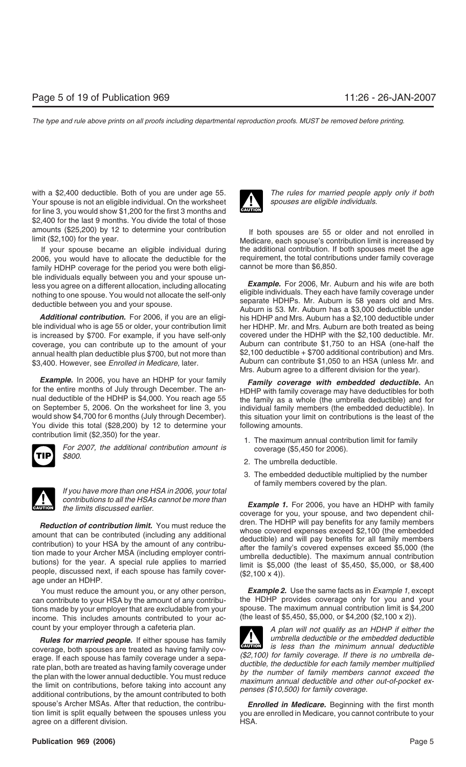with a \$2,400 deductible. Both of you are under age 55. **The rules for married people apply only if both** Your spouse is not an eligible individual. On the worksheet *spouses are eligible individuals.* for line 3, you would show \$1,200 for the first 3 months and \$2,400 for the last 9 months. You divide the total of those

2006, you would have to allocate the deductible for the requirement, the total contributions under family coverage family coverage requirement of the period you were both eligi-<br>cannot be more than \$6,850. family HDHP coverage for the period you were both eligible individuals equally between you and your spouse un-<br>less you agree on a different allocation, including allocating<br>nothing to one spouse. You would not allocate the self-only<br>deductible between you and your spouse.<br>Aub

ble individual who is age 55 or older, your contribution limit her HDHP. Mr. and Mrs. Auburn are both treated as being<br>is increased by \$700. For example, if you have self-only covered under the HDHP with the \$2,100 deducti is increased by \$700. For example, if you have self-only coverage, you can contribute up to the amount of your Auburn can contribute \$1,750 to an HSA (one-half the annual health plane-half the annual health plane-half the annual health plane-half the annual health plane-half the annual health plan deductible plus \$700, but not more than \$3,400. However, see *Enrolled in Medicare*, later. Auburn can contribute \$1,050 to an HSA (unless Mr. and

**Example.** In 2006, you have an HDHP for your family **Family coverage with embedded deductible.** An for the entire months of July through December. The an-<br>HDHP with family coverage may have deductibles for both for the entire months of July through December. The an-<br>
Ince the family coverage may have deductibles for both nual deductible of the HDHP with family as a whole (the umbrella deductible) and for<br>
on September 5, 2006. On would show \$4,700 for 6 months (July through December). this situation your limit on contributions is the least of the You divide this total (\$28,200) by 12 to determine your following amounts.





*If you have more than one HSA in 2006, your total contributions to all the HSAs cannot be more than*<br> **Example 1.** For 2006, you have an HDHP with family<br> **Example 1.** For 2006, you have an HDHP with family

**Reduction of contribution limit.** You must reduce the amount that can be contributed (including any additional contributed deductible) and will pay benefits for any family members whose covered expenses exceed \$2,100 (th

can contribute to your HSA by the amount of any contribu- the HDHP provides coverage only for you and your tions made by your employer that are excludable from your spouse. The maximum annual contribution limit is \$4,200 income. This includes amounts contributed to your ac-<br>(the least of \$5,450, \$5,000, or \$4,200 (\$2,100 x 2)). income. This includes amounts contributed to your ac-

example is less than the minimum annual deductible<br>erage. If each spouse has family coverage under a sepa-<br>tate plan, both are treated as having family coverage under<br>the plan with the lower annual deductible. You must red spouse's Archer MSAs. After that reduction, the contribu-*Enrolled in Medicare*. Beginning with the first month tion limit is split equally between the spouses unless you you are enrolled in Medicare, you cannot contribute to your agree on a different division. The same state of the HSA.



amounts (\$25,200) by 12 to determine your contribution If both spouses are 55 or older and not enrolled in limit (\$2,100) for the year. If your spouse became an eligible individual during the additional contribution. If both spouses meet the age

*Additional contribution.* For 2006, if you are an eligi- his HDHP and Mrs. Auburn has a \$2,100 deductible under Mrs. Auburn agree to a different division for the year).

individual family members (the embedded deductible). In

- contribution limit (\$2,350) for the year.<br> **For 2007, the additional contribution amount is 1.** The maximum annual contribution limit for family<br> *\$800.* 2. The umbrella deductible.
	-
	- 3. The embedded deductible multiplied by the number of family members covered by the plan.

coverage for you, your spouse, and two dependent chil-

You must reduce the amount you, or any other person, *Example 2.* Use the same facts as in *Example 1,* except

count by your employer through a cafeteria plan. **A A** plan will not qualify as an HDHP if either the *Rules for married people.* If either spouse has family **If the umbrella deductible** or the embedded deductible  $i$ s less than the minimum annual deductible **!**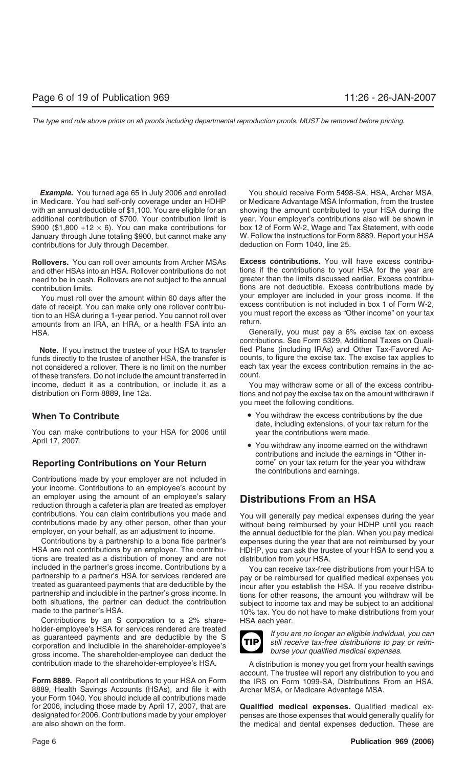in Medicare. You had self-only coverage under an HDHP or Medicare Advantage MSA Information, from the trustee with an annual deductible of \$1,100. You are eligible for an showing the amount contributed to your HSA during the additional contribution of \$700. Your contribution limit is year. Your employer's contributions also will be shown in \$900 (\$1,800  $\div$ 12  $\times$  6). You can make contributions for box 12 of Form W-2, Wage and Tax Statement, \$900 (\$1,800  $\div$ 12  $\times$  6). You can make contributions for January through June totaling \$900, but cannot make any W. Follow the instructions for Form 8889. Report your HSA<br>contributions for July through December. deduction on Form 1040, line 25. contributions for July through December.

**Rollovers.** You can roll over amounts from Archer MSAs **Excess contributions.** You will have excess contribuand other HSAs into an HSA. Rollover contributions do not tions if the contributions to your HSA for the year are need to be in cash. Rollovers are not subject to the annual greater than the limits discussed earlier. Exces need to be in cash. Rollovers are not subject to the annual

date of receipt. You can make only one rollover contribu-<br>tion to an HSA during a 1-year period. You cannot roll over<br>amounts from an IRA, an HRA, or a health FSA into an<br>return. HSA. Generally, you must pay a 6% excise tax on excess

funds directly to the trustee of another HSA, the transfer is counts, to figure the excise tax. The excise tax applies to not considered a rollover. There is no limit on the number each tax year the excess contribution rem not considered a rollover. There is no limit on the number of these transfers. Do not include the amount transferred in count. income, deduct it as a contribution, or include it as a You may withdraw some or all of the excess contribu-

You can make contributions to your HSA for 2006 until year the contributions were made. April 17, 2007.

Contributions made by your employer are not included in your income. Contributions to an employee's account by an employer using the amount of an employee's salary **Distributions From an HSA** reduction through a cafeteria plan are treated as employer contributions. You can claim contributions you made and<br>contributions made by any other person, other than your<br>employer, on your behalf, as an adjustment to income.<br>the annual deductible for the plan. When you pay medical

HSA are not contributions by an employer. The contribu- HDHP, you can ask the trustee of your HSA to send you a tions are treated as a distribution of money and are not distribution from your HSA.

Contributions by an S corporation to a 2% share- HSA each year. holder-employee's HSA for services rendered are treated<br>as guaranteed payments and are deductible by the S<br>corporation and includible in the shareholder-employee's<br>graves increase in the shareholder-employee's<br>graves incre gross income. The shareholder-employee can deduct the

8889, Health Savings Accounts (HSAs), and file it with Archer MSA, or Medicare Advantage MSA. your Form 1040. You should include all contributions made for 2006, including those made by April 17, 2007, that are **Qualified medical expenses.** Qualified medical exdesignated for 2006. Contributions made by your employer penses are those expenses that would generally qualify for are also shown on the form. the medical and dental expenses deduction. These are

**Example.** You turned age 65 in July 2006 and enrolled You should receive Form 5498-SA, HSA, Archer MSA,

contribution limits.<br>You must roll over the amount within 60 days after the your employer are included in your gross income. If the You must roll over the amount within 60 days after the your employer are included in your gross income. If the<br>In at receint, You can make only one rollover contribute excess contribution is not included in box 1 of Form W

contributions. See Form 5329, Additional Taxes on Quali-Note. If you instruct the trustee of your HSA to transfer fied Plans (including IRAs) and Other Tax-Favored Ac-

distribution on Form 8889, line 12a. the same of the state of pay the excise tax on the amount withdrawn if you meet the following conditions.

- **When To Contribute** *Contribute Mhen* **To Contributions by the due of**  $\blacksquare$  **You withdraw the excess contributions by the due** date, including extensions, of your tax return for the
- contributions and include the earnings in "Other in-**Reporting Contributions on Your Return** come" on your tax return for the year you withdraw the contributions and earnings.

Contributions by a partnership to a bona fide partner's expenses during the year that are not reimbursed by your

included in the partner's gross income. Contributions by a<br>partnership to a partner's HSA for services rendered are<br>treated as guaranteed payments that are deductible by the<br>partnership and includible in the partner's gros



contribution made to the shareholder-employee's HSA. A distribution is money you get from your health savings account. The trustee will report any distribution to you and Form 8889. Report all contributions to your HSA on Form the IRS on Form 1099-SA, Distributions From an HSA,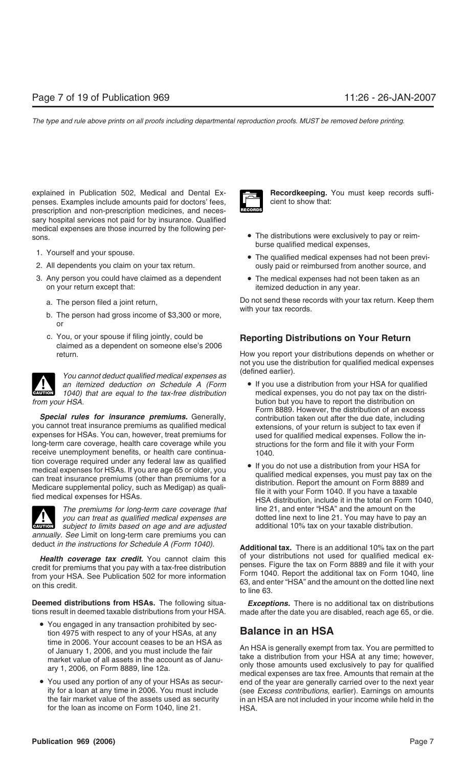explained in Publication 502, Medical and Dental Ex- **Recordkeeping.** You must keep records suffipenses. Examples include amounts paid for doctors' fees,  $\Box$  cient to show that: prescription and non-prescription medicines, and necessary hospital services not paid for by insurance. Qualified medical expenses are those incurred by the following persons. **• The distributions were exclusively to pay or reim-**

- 
- 
- 3. Any person you could have claimed as a dependent The medical expenses had not been taken as an on your return except that:
	-
	- b. The person had gross income of \$3,300 or more, or
	- c. You, or your spouse if filing jointly, could be **Reporting Distributions on Your Return** claimed as a dependent on someone else's 2006

(defined earlier). *You cannot deduct qualified medical expenses as* **CAUTION** *1040) that are equal to the tax-free distribution* **e** If you use a distribution from your HSA for qualified *A* (*Form* **e** If you use a distribution from your HSA for qualified medical expenses, you do not p *from your HSA.* bution but you have to report the distribution on

**Special rules for insurance premiums.** Generally, entit contribution taken out after the due date, including you cannot treat insurance premiums as qualified medical extensions, of your return is subject to tax even if<br>expenses for HSAs. You can, however, treat premiums for used for qualified medical expenses. Follow the in long-term care coverage, health care coverage while you receive unemployment benefits, or health care continua-<br>tion coverage required under any federal law as qualified ion coverage required under any federal law as qualified<br>
medical expenses for HSAs. If you are age 65 or older, you<br>
can treat insurance premiums (other than premiums for a<br>
Medicare supplemental policy, such as Medigap)

**!**

*you can treat as qualified medical expenses are* dotted line next to line 21. You may have to pay *subject to limits based on age and are adjusted* additional 10% tax on your taxable distribution. subject to limits based on age and are adjusted *annually. See* Limit on long-term care premiums you can

**Deemed distributions from HSAs.** The following situa- *Exceptions.* There is no additional tax on distributions tions result in deemed taxable distributions from your HSA. made after the date you are disabled, reach age 65, or die.

- You engaged in any transaction prohibited by section 4975 with respect to any of your HSAs, at any **Balance in an HSA**
- for the loan as income on Form 1040, line 21. HSA.



- burse qualified medical expenses,
- 1. Yourself and your spouse.<br>
2. All dependents you claim on your tax return.<br>
2. All dependents you claim on your tax return.<br>
2. All dependents you claim on your tax return. ously paid or reimbursed from another source, and
	- itemized deduction in any year.

a. The person filed a joint return, Do not send these records with your tax return. Keep them<br>with your tax records.

return. How you report your distributions depends on whether or not you use the distribution for qualified medical expenses

- *an itemized deduction on Schedule A (Form* If you use a distribution from your HSA for qualified Form 8889. However, the distribution of an excess used for qualified medical expenses. Follow the in-<br>structions for the form and file it with your Form
- *The premiums for long-term care coverage that* line 21, and enter "HSA" and the amount on the variancy of the retation of the variancy of control and the amount on the variancy of control of the control of the control of

deduct *in the instructions for Schedule A (Form 1040).* **Additional tax.** There is an additional 10% tax on the part **Health coverage tax credit.** You cannot claim this of your distributions not used for qualified medical ex-<br>edit for premiums that you pay with a tax-free distribution penses. Figure the tax on Form 8889 and file it with credit for premiums that you pay with a tax-free distribution<br>from your HSA. See Publication 502 for more information<br>on this credit.<br>on this credit.<br>to line 63.

time in 2006. Your account ceases to be an HSA as<br>of January 1, 2006, and you must include the fair<br>market value of all assets in the account as of Janu-<br>ary 1, 2006, on Form 8889, line 12a.<br>medical expenses are tax free. • You used any portion of any of your HSAs as secur-<br>• You used any portion of any of your HSAs as secur-<br>ity for a loan at any time in 2006. You must include<br>(see Excess contributions, earlier). Earnings on amounts ity for a loan at any time in 2006. You must include (see *Excess contributions,* earlier). Earnings on amounts in an HSA are not included in your income while held in the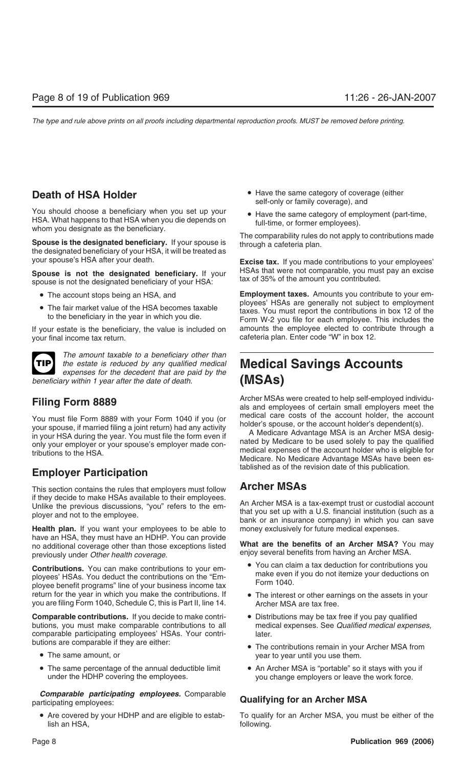You should choose a beneficiary when you set up your<br>HSA. What happens to that HSA when you die depends on whom you designate as the beneficiary.<br>The comparability rules do not apply to contributions made

**Spouse is the designated beneficiary.** If your spouse is through a cafeteria plan.<br>the designated beneficiary of your HSA, it will be treated as your spouse's HSA after your death. **Excise tax.** If you made contributions to your employees'

**Spouse is not the designated beneficiary.** If your HSAs that were not comparable, you must pay an excise spouse is not the designated beneficiary of your HSA: tax of 35% of the amount you contributed.

- 
- 

If your estate is the beneficiary, the value is included on amounts the employee elected to contribute through a your final income tax return. The same of the cafeteria plan. Enter code "W" in box 12.



*The amount taxable to a beneficiary other than the estate is reduced by any qualified medical* **Medical Savings Accounts** *expenses for the decedent that are paid by the* **(MSAs)** *expenses for the date of death.* (MSAs) **beneficiary within 1 year after the date of death.** 

You must file Form 8889 with your Form 1040 if you (or<br>your spouse, if married filing a joint return) had any activity<br>in your HSA during the year. You must file the form even if<br>only your employer or your spouse's employe

## tablished as of the revision date of this publication. **Employer Participation**

This section contains the rules that employers must follow **Archer MSAs**

**Health plan.** If you want your employees to be able to have an HSA, they must have an HDHP. You can provide<br>no additional coverage other than those exceptions listed<br>previously under *Other health coverage*.<br>enjoy several benefits from having an Archer MSA.<br>enjoy several benef

**Contributions.** You can make contributions to your em-<br>ployees' HSAs. You deduct the contributions on the "Em-<br>ployee benefit programs" line of your business income tax<br>Form 1040. return for the year in which you make the contributions. If • The interest or other earnings on the assets in your you are filing Form 1040, Schedule C, this is Part II, line 14. Archer MSA are tax free.

**Comparable contributions.** If you decide to make contri- • Distributions may be tax free if you pay qualified butions, you must make comparable contributions to all medical expenses. See *Qualified medical expenses,* comparable participating employees' HSAs. Your contri- later. butions are comparable if they are either:<br>• The contributions remain in your Archer MSA from

- 
- The same percentage of the annual deductible limit An Archer MSA is "portable" so it stays with you if under the HDHP covering the employees. you change employers or leave the work force.

*Comparable participating employees.* Comparable participating employees: **Qualifying for an Archer MSA**

lish an HSA, following.

- **Death of HSA Holder Have the same category of coverage (either** self-only or family coverage), and
	-

• The account stops being an HSA, and **Employment taxes.** Amounts you contribute to your em-<br>ployees' HSAs are generally not subject to employment • The fair market value of the HSA becomes taxable<br>taxes. You must report the contributions in box 12 of the<br>Form W-2 you file for each employee. This includes the

Archer MSAs were created to help self-employed individu- **Filing Form 8889** als and employees of certain small employers meet the

if they decide to make HSAs available to their employees.<br>Unlike the previous discussions, "you" refers to the em-<br>ployer and not to the employee.<br>Health plan. If you want your employees to be able to money exclusively for

- 
- 
- 
- The same amount, or year to year to year until you use them.
	-

• Are covered by your HDHP and are eligible to estab-<br>To qualify for an Archer MSA, you must be either of the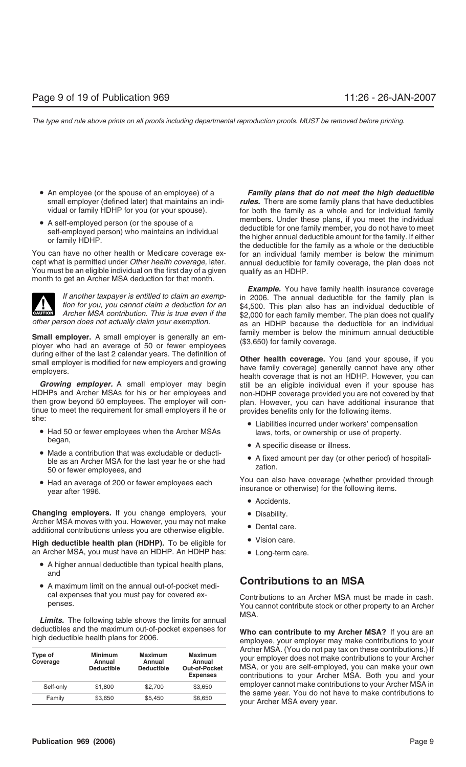- 
- 

You must be an eligible individual on the first day of a given qualify as an HDHP. month to get an Archer MSA deduction for that month.



**Small employer.** A small employer is generally an em-<br>ployer who had an average of 50 or fewer employees (\$3,650) for family coverage.<br>during either of the last 2 calendar vears. The definition of

**Growing employer.** A small employer may begin still be an eligible individual even if your spouse has HDHPs and Archer MSAs for his or her employees and non-HDHP coverage provided you are not covered by that HDHPs and Archer MSAs for his or her employees and non-HDHP coverage provided you are not covered by that then grow beyond 50 employees. The employer will con-<br>plan. However, you can have additional insurance that tinue to meet the requirement for small employers if he or provides benefits only for the following items.<br>she:

- Had 50 or fewer employees when the Archer MSAs laws, torts, or ownership or use of property.<br>began,
- degan,<br>
 A specific disease or illness.<br>
 A fixed amount per day (or other period) of hospitali-<br>
ble as an Archer MSA for the last year he or she had<br>
50 or fewer employees, and<br>
<sup>2</sup> zation.
- 

**Changing employers.** If you change employers, your • Disability.<br>Archer MSA moves with you. However, you may not make Archer MSA moves with you. However, you may not make • Dental care.<br>additional contributions unless you are otherwise eligible. • Dental care.

**High deductible health plan (HDHP).** To be eligible for **...** Vision care. an Archer MSA, you must have an HDHP. An HDHP has: • Long-term care.

- A higher annual deductible than typical health plans, and
- A maximum limit on the annual out-of-pocket medi-<br>
cal expenses that you must pay for covered ex-<br>
Contributions to an Archer MSA must

MSA. *Limits.* The following table shows the limits for annual deductibles and the maximum out-of-pocket expenses for **Who can contribute to my Archer MSA?** If you are an high deductible health plans for 2006.

| Type of<br>Coverage | <b>Minimum</b><br>Annual<br><b>Deductible</b> | Maximum<br>Annual<br><b>Deductible</b> | <b>Maximum</b><br>Annual<br><b>Out-of-Pocket</b><br><b>Expenses</b> |
|---------------------|-----------------------------------------------|----------------------------------------|---------------------------------------------------------------------|
| Self-only           | \$1,800                                       | \$2,700                                | \$3,650                                                             |
| Family              | \$3,650                                       | \$5.450                                | \$6,650                                                             |

• An employee (or the spouse of an employee) of a *Family plans that do not meet the high deductible* small employer (defined later) that maintains an indi-<br>vidual or family HDHP for you (or your spouse). for both the family as a whole and for individual family for both the family as a whole and for individual family • A self-employed person (or the spouse of a<br>self-employed person) who maintains an individual<br>or family HDHP.<br>You can have no other health or Medicare coverage ex-<br>or family discussed by the minimum space of the family as You can have no other health or Medicare coverage ex-<br>cept what is permitted under *Other health coverage*, later. annual deductible for family coverage, the plan does not cept what is permitted under *Other health coverage,* later. annual deductible for family coverage, the plan does not

**Example.** You have family health insurance coverage If another taxpayer is entitled to claim an exemp-<br>tion for you, you cannot claim a deduction for an<br>Archer MSA contribution. This is true even if the<br>other person does not actually claim your exemption.<br>as an HDHP because as an HDHP because the deductible for an individual

address of the last 2 calcular years. The definition of **Other health coverage.** You (and your spouse, if you small employer is modified for new employers and growing<br>employers and growing that is not an HDHP. However, you plan. However, you can have additional insurance that

- Liabilities incurred under workers' compensation
- 
- 

• Had an average of 200 or fewer employees each You can also have coverage (whether provided through vear after 1996.

- Accidents.
- 
- 
- 
- 

cal experises that you must pay for covered ex-<br>
Contributions to an Archer MSA must be made in cash.<br>
You cannot contribute stock or other property to an Archer You cannot contribute stock or other property to an Archer

> Archer MSA. (You do not pay tax on these contributions.) If your employer does not make contributions to your Archer **MSA, or you are self-employed, you can make your own Expenses** contributions to your Archer MSA. Both you and your employer cannot make contributions to your Archer MSA in the same year. You do not have to make contributions to your Archer MSA every year.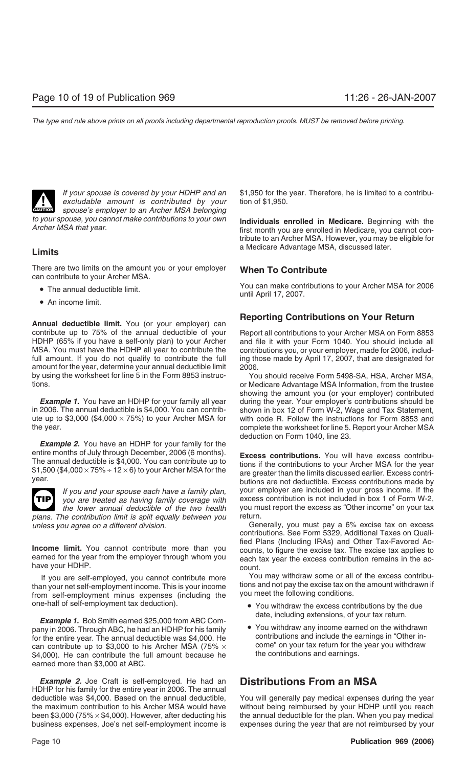

*excludable amount is contributed by your* **CAUTION** *spouse's employer to an Archer MSA belonging*<br> *spouse's employer to an Archer MSA belonging* 

There are two limits on the amount you or your employer **When To Contribute** can contribute to your Archer MSA.

- 
- An income limit.

**Reporting Contributions on Your Return**<br>**Annual deductible limit.** You (or your employer) can contribute up to 75% of the annual deductible of your Report all contributions to your Archer MSA on Form 8853 HDHP (65% if you have a self-only plan) to your Archer and file it with your Form 1040. You should include all MSA. You must have the HDHP all year to contribute the contributions you, or your employer, made for 2006, includfull amount. If you do not qualify to contribute the full ing those made by April 17, 2007, that are designated for amount for the year, determine your annual deductible limit 2006. by using the worksheet for line 5 in the Form 8853 instruc- You should receive Form 5498-SA, HSA, Archer MSA, tions. or Medicare Advantage MSA Information, from the trustee

in 2006. The annual deductible is \$4,000. You can contrib- shown in box 12 of Form W-2, Wage and Tax Statement, ute up to \$3,000 (\$4,000  $\times$  75%) to your Archer MSA for with code R. Follow the instructions for Form 8853 and the year. complete the worksheet for line 5. Report your Archer MSA

*Example 2.* You have an HDHP for your family for the



plans. The contribution limit is split equally between you

If you are self-employed, you cannot contribute more<br>than your net self-employment income. This is your income<br>from self-employment minus expenses (including the you meet the following conditions.

date, including extensions, of your tax return.<br>Inv in 2006. Through ABC, he had an HDHP for his family **Computed Act and Searned States** through ABC, he had an HDHP for his family pany in 2006. Through ABC, he had an HDHP for his family for the entire year. The annual deductible was \$4,000. He contributions and include the earnings in "Other in-<br>can contribute up to \$3,000 to his Archer MSA (75%  $\times$  come" on your tax return for the year you withdraw can contribute up to \$3,000 to his Archer MSA (75%  $\times$  come" on your tax return for the  $$4.000$ ). He can contribute the full amount because he the contributions and earnings.  $$4,000$ ). He can contribute the full amount because he earned more than \$3,000 at ABC.

*Example 2.* Joe Craft is self-employed. He had an **Distributions From an MSA** HDHP for his family for the entire year in 2006. The annual deductible was \$4,000. Based on the annual deductible, You will generally pay medical expenses during the year the maximum contribution to his Archer MSA would have without being reimbursed by your HDHP until you reach been \$3,000 ( $75\% \times $4,000$ ). However, after deducting his the annual deductible for the plan. When you pay medical business expenses, Joe's net self-employment income is expenses during the year that are not reimbursed by your

*If your spouse is covered by your HDHP and an* \$1,950 for the year. Therefore, he is limited to a contribu-

*to your spouse, you cannot make contributions to your own* **Individuals enrolled in Medicare.** Beginning with the *Archer MSA that year.* first month you are enrolled in Medicare, you cannot contribute to an Archer MSA. However, you may be eligible for a Medicare Advantage MSA, discussed later. **Limits**

• The annual deductible limit.<br>
until April 17, 2007.<br>
until April 17, 2007.

showing the amount you (or your employer) contributed **Example 1.** You have an HDHP for your family all year during the year. Your employer's contributions should be deduction on Form 1040, line 23.

entire months of July through December, 2006 (6 months).<br>The annual deductible is \$4,000. You can contribute up to<br>\$1,500 (\$4,000 × 75% ÷ 12 × 6) to your Archer MSA for the are greater than the limits discussed earlier. E *If you and your spouse each have a family plan,* your employer are included in your gross income. If the *you are treated as having family coverage with* excess contribution is not included in box 1 of Form W-2, *the lower annual deductible of the two health* you must report the excess as "Other income" on your tax <br>The contribution limit is split equally between you return.

*unless you agree on a different division.* Generally, you must pay a 6% excise tax on excess contributions. See Form 5329, Additional Taxes on Quali-**Income limit.** You cannot contribute more than you<br>earned for the year from the employer through whom you<br>have your HDHP.<br>counts. to figure the excess contribution remains in the ac-<br>have your HDHP.

- one-half of self-employment tax deduction). You withdraw the excess contributions by the due
	-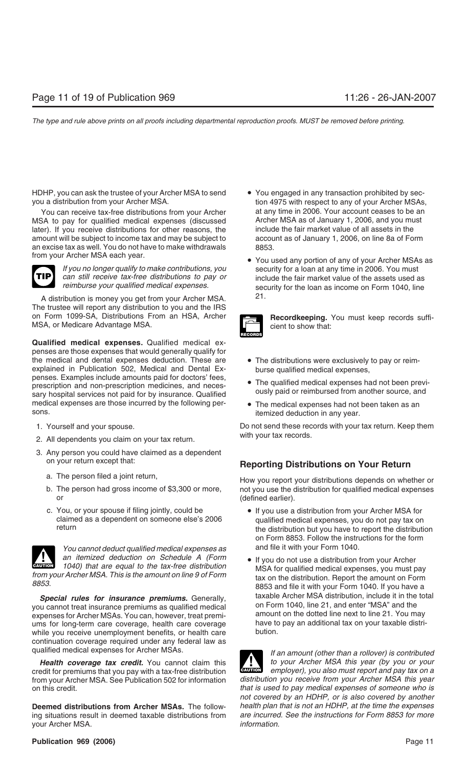HDHP, you can ask the trustee of your Archer MSA to send • You engaged in any transaction prohibited by sec-<br>you a distribution from your Archer MSA.<br>tion 4975 with respect to any of your Archer MSAs

You can receive tax-free distributions from your Archer at any time in 2006. Your account ceases to be an<br>SA to pay for qualified medical expenses (discussed Archer MSA as of January 1, 2006, and you must MSA to pay for qualified medical expenses (discussed archer MSA as of January 1, 2006, and you must later). If you receive distributions for other reasons, the and include the fair market value of all assets in the later). If you receive distributions for other reasons, the amount will be subject to income tax and may be subject to account as of January 1, 2006, on line 8a of Form an excise tax as well. You do not have to make withdrawals  $\frac{8853}{100}$ .



A distribution is money you get from your Archer MSA. 21. The trustee will report any distribution to you and the IRS on Form 1099-SA, Distributions From an HSA, Archer **Recordkeeping.** You must keep records suffi-<br>MSA, or Medicare Advantage MSA. cient to show that:

**Qualified medical expenses.** Qualified medical expenses are those expenses that would generally qualify for the medical and dental expenses deduction. These are • The distributions were exclusively to pay or reimexplained in Publication 502, Medical and Dental Ex-<br>penses. Examples include amounts paid for doctors' fees, periods. Examples instated arrowing para for about 1999,<br>prescription and non-prescription medicines, and neces-<br>sary hospital services not paid for by insurance. Qualified ously paid or reimbursed from another source, and medical expenses are those incurred by the following per-<br>sons.<br>itemized deduction in any year

- 
- with your tax records. 2. All dependents you claim on your tax return.
- 3. Any person you could have claimed as a dependent
	-
	- or  $(defined earlier)$ .
	- c. You, or your spouse if filing jointly, could be If you use a distribution from your Archer MSA for claimed as a dependent on someone else's 2006 aualified medical expenses, you do not pay tax on



You cannot deduct qualified medical expenses as and file it with your Form 1040. *an itemized deduction on Schedule A (Form* • If you do not use a distribution from your Archer 1040) that are equal to the tax-free distribution MSA for qualified medical expenses, you must pay

you cannot treat insurance premiums as qualified medical on Form 1040, line 21, and enter "MSA" and the you can<br>expenses for Archer MSAs, You can however, treat premi-<br>amount on the dotted line next to line 21. You may expenses for Archer MSAs. You can, however, treat premi- amount on the dotted line next to line 21. You may<br>ums for Jong-term care coverage, health care coverage have to pay an additional tax on your taxable distriums for long-term care coverage, health care coverage have to pay an an an addition.<br>while you receive unemployment benefits, or health care while you receive unemployment benefits, or health care continuation coverage required under any federal law as

credit for premiums that you pay with a tax-free distribution **CAUTION** *employer), you also must report and pay tax on a* from your Archer MSA. See Publication 502 for information on this credit. *that is used to pay medical expenses of someone who is*

**Deemed distributions from Archer MSAs.** The follow- *health plan that is not an HDHP, at the time the expenses* ing situations result in deemed taxable distributions from your Archer MSA. *information.*

- tion 4975 with respect to any of your Archer MSAs,
- from the meritude with year.<br>If you no longer qualify to make contributions, you security for a loan at any time in 2006. You must *If you no longer qualify to make contributions, you* security for a loan at any time in 2006. You must can still receive tax-free distributions to pay or sinclude the fair market value of the assets used a *can still receive tax-free distributions to pay or* include the fair market value of the assets used as security for the loan as income on Form 1040, line



- 
- 
- itemized deduction in any year.

1. Yourself and your spouse. Do not send these records with your tax return. Keep them

## on your return except that: **Reporting Distributions on Your Return**

a. The person filed a joint return, hetaped a set of the How you report your distributions depends on whether or b. The person had gross income of \$3,300 or more, not you use the distribution for qualified medical expenses

- claimed as a dependent on someone else's 2006 qualified medical expenses, you do not pay tax on the distribution but you have to report the distribution on Form 8853. Follow the instructions for the form
- from your Archer MSA. This is the amount on line 9 of Form<br>8853 and file it with your Form 1040. If you have a<br>8853 and file it with your Form 1040. If you have a **Special rules for insurance premiums.** Generally, taxable Archer MSA distribution, include it in the total cannot treat insurance premiums as qualified medical on Form 1040, line 21, and enter "MSA" and the

qualified medical expenses for Archer MSAs. *If an amount (other than a rollover) is contributed* **Health coverage tax credit.** You cannot claim this *to your Archer MSA this year (by you or your* edit for premiums that you pay with a tax-free distribution **!** *not covered by an HDHP, or is also covered by another*

### **Publication 969 (2006)** 2008 2009 2009 2012 2022 2023 2024 2022 2034 2022 2034 2035 2036 2037 2038 2039 2039 2030 2031 2032 2033 2034 2035 2036 2037 2038 2039 2039 2039 2031 2032 2033 2034 2035 2036 2037 2038 2039 2039 20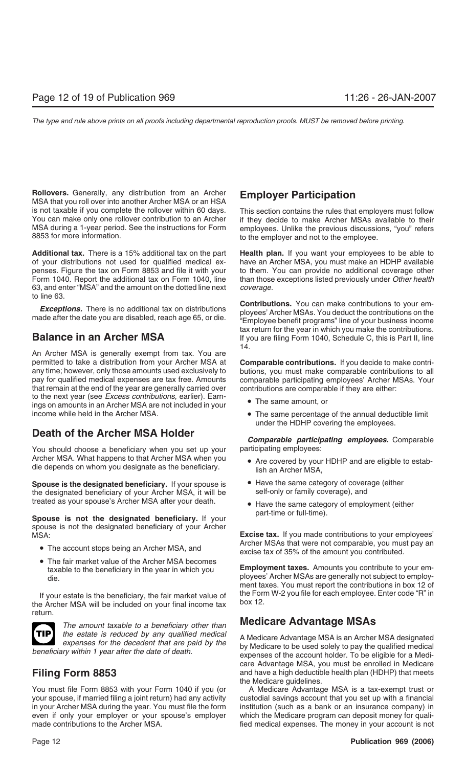**Rollovers.** Generally, any distribution from an Archer **Employer Participation** MSA that you roll over into another Archer MSA or an HSA is not taxable if you complete the rollover within 60 days. This section contains the rules that employers must follow You can make only one rollover contribution to an Archer if they decide to make Archer MSAs available to their MSA during a 1-year period. See the instructions for Form employees. Unlike the previous discussions, "you" refers end to the employer and not to the employee

**Additional tax.** There is a 15% additional tax on the part **Health plan.** If you want your employees to be able to of your distributions not used for qualified medical ex- have an Archer MSA, you must make an HDHP available penses. Figure the tax on Form 8853 and file it with your to them. You can provide no additional coverage other Form 1040. Report the additional tax on Form 1040, line than those exceptions listed previously under *Other health* 63, and enter "MSA" and the amount on the dotted line next *coverage.* to line 63.

An Archer MSA is generally exempt from tax. You are permitted to take a distribution from your Archer MSA at **Comparable contributions.** If you decide to make contriany time; however, only those amounts used exclusively to butions, you must make comparable contributions to all pay for qualified medical expenses are tax free. Amounts comparable participating employees' Archer MSAs. Your that remain at the end of the year are generally carried over contributions are comparable if they are either: to the next year (see *Excess contributions,* earlier). Earn- • The same amount, or ings on amounts in an Archer MSA are not included in your income while held in the Archer MSA. **•** The same percentage of the annual deductible limit

## **Death of the Archer MSA Holder**

You should choose a beneficiary when you set up your participating employees: Archer MSA. What happens to that Archer MSA when you <br>die depends on whom you designate as the beneficiary.<br>lish an Archer MSA,

**Spouse is the designated beneficiary.** If your spouse is  $\bullet$  Have the same category of coverage (either the designated beneficiary of your Archer MSA, it will be self-only or family coverage), and the designated beneficiary of your Archer MSA, it will be treated as your spouse's Archer MSA after your death. • • Have the same category of employment (either

part-time or full-time). **Spouse is not the designated beneficiary.** If your spouse is not the designated beneficiary of your Archer

- 
- The fair market value of the Archer MSA becomes

If your estate is the beneficiary, the fair market value of the Form W-2 you file for each employee. Enter code "R" in the Archer MSA will be included on your final income tax box 12. return.



*the estate is reduced by any qualified medical* A Medicare Advantage MSA is an Archer MSA designated *expenses for the decedent that are paid by the* by Medicare to be used solely to pay the qualified medical

You must file Form 8853 with your Form 1040 if you (or A Medicare Advantage MSA is a tax-exempt trust or your spouse, if married filing a joint return) had any activity custodial savings account that you set up with a financial in your Archer MSA during the year. You must file the form institution (such as a bank or an insurance company) in even if only your employer or your spouse's employer which the Medicare program can deposit money for qualimade contributions to the Archer MSA. **Fig. 2016** fied medical expenses. The money in your account is not

to the employer and not to the employee.

**Exceptions.** There is no additional tax on distributions<br>made after the date you are disabled, reach age 65, or die.<br>"Employee benefit programs" line of your business income tax return for the year in which you make the contributions. **Balance in an Archer MSA** If you are filing Form 1040, Schedule C, this is Part II, line 14.

- 
- under the HDHP covering the employees.

*Comparable participating employees.* Comparable

- 
- 
- 

MSA:<br>**Excise tax.** If you made contributions to your employees'<br>Archer MSAs that were not comparable, you must pay an • The account stops being an Archer MSA, and excise tax of 35% of the amount you contributed.

taxable to the beneficiary in the year in which you **Employment taxes.** Amounts you contribute to your em-<br>ployees' Archer MSAs are generally not subject to employment taxes. You must report the contributions in box 12 of

## **Medicare Advantage MSAs** *The amount taxable to a beneficiary other than*

by Medicare to be used solely to pay the qualified medical *beneficiary within 1 year after the date of death.* expenses of the account holder. To be eligible for a Medicare Advantage MSA, you must be enrolled in Medicare **Filing Form 8853** and have a high deductible health plan (HDHP) that meets the Medicare guidelines.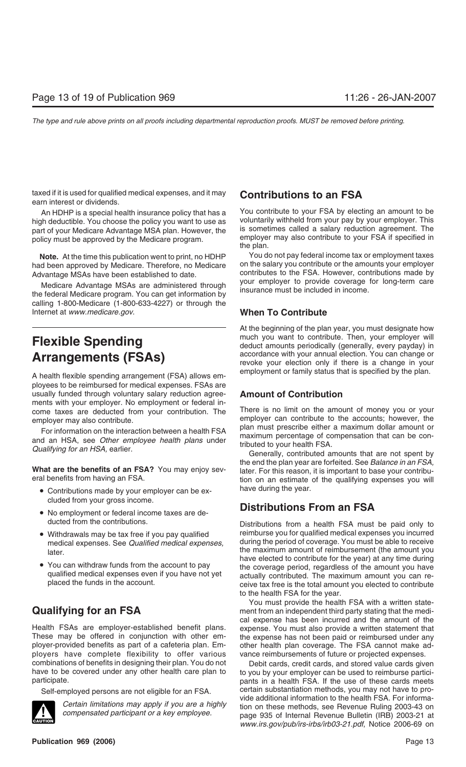taxed if it is used for qualified medical expenses, and it may **Contributions to an FSA** earn interest or dividends.

high deductible. You choose the policy you want to use as voluntarily withheld from your pay by your employer. This<br>nart of your Medicare Advantage MSA plan, However, the sometimes called a salary reduction agreement. The part of your Medicare Advantage MSA plan. However, the is sometimes called a salary reduction agreement. The policy must be approved by the Medicare program policy must be approved by the Medicare program. The plane in policy must be approved by the Medicare program.

had been approved by Medicare. Therefore, no Medicare

Medicare Advantage MSAs are administered through your employer to provide coverage<br>the federal Medicare program. You can get information by calling 1-800-Medicare (1-800-633-4227) or through the Internet at *www.medicare.gov*. **When To Contribute**

ployees to be reimbursed for medical expenses. FSAs are usually funded through voluntary salary reduction agree- **Amount of Contribution** ments with your employer. No employment or federal income taxes are deducted from your contribution. The There is no limit on the amount of money you or your

For information on the interaction between a health FSA<br>and an HSA, see Other employee health plans under<br>Qualifying for an HSA, earlier.<br>Cenerally, contributed amounts that are not spent by

- Contributions made by your employer can be ex-<br>have during the year. cluded from your gross income.
- 
- 
- 

Health FSAs are employer-established benefit plans. expense. You must also provide a written statement that<br>These may be offered in conjunction with other em-<br>the expense has not been paid or reimbursed under any These may be offered in conjunction with other em-<br>ployer-provided benefits as part of a cafeteria plan. Em-<br>other health plan coverage. The FSA cannot make adployers have complete flexibility to offer various vance reimbursements of future or projected expenses. combinations of benefits in designing their plan. You do not<br>have to be covered under any other health care plan to to you by your employer can be used to reimburse partici-



An HDHP is a special health insurance policy that has a You contribute to your FSA by electing an amount to be<br>In deductible You choose the policy you want to use as yoluntarily withheld from your pay by your employer. Thi

**Note.** At the time this publication went to print, no HDHP You do not pay federal income tax or employment taxes<br>In been approved by Medicare. Therefore, no Medicare on the salary you contribute or the amounts your employ Advantage MSAs have been established to date. contributes to the FSA. However, contributions made by<br>Mediaera Advantage MSAs are administered through your employer to provide coverage for long-term care

At the beginning of the plan year, you must designate how **Flexible Spending** The much you want to contribute. Then, your employer will deduct amounts periodically (generally, every payday) in **Arrangements (FSAs)** accordance with your annual election. You can change or **Arrange in your** revoke your election only if there is a change in your employment or family status that is specified by the plan. A health flexible spending arrangement (FSA) allows em-

employer may also contribute.<br>
For the integration between a bealth FOA plan must prescribe either a maximum dollar amount or

the end the plan year are forfeited. See *Balance in an FSA,* **What are the benefits of an FSA?** You may enjoy sev-<br>eral benefits from having an FSA. tion on an estimate of the qualifying expenses you will

## • No employment or federal income taxes are de-<br>**Distributions From an FSA**

ducted from the contributions. Distributions from a health FSA must be paid only to • Withdrawals may be tax free if you pay qualified reimburse you for qualified medical expenses you incurred medical expenses. See *Qualified medical expenses,* during the period of coverage. You must be able to receive the maximum amount of reimbursement (the amount you later.<br>have elected to contribute for the year) at any time during • You can withdraw funds from the account to pay the coverage period, regardless of the amount you have qualified medical expenses even if you have not yet actually contributed. The maximum amount you can replaced the fund to the health FSA for the year.

You must provide the health FSA with a written state-**Qualifying for an FSA** ment from an independent third party stating that the medical expense has been incurred and the amount of the other health plan coverage. The FSA cannot make ad-

to you by your employer can be used to reimburse participarticipate. pants in a health FSA. If the use of these cards meets Self-employed persons are not eligible for an FSA. certain substantiation methods, you may not have to provide additional information to the health FSA. For informa-Certain limitations may apply if you are a highly tion on these methods, see Revenue Ruling 2003-43 on compensated participant or a key employee. *www.irs.gov/pub/irs-irbs/irb03-21.pdf*, Notice 2006-69 on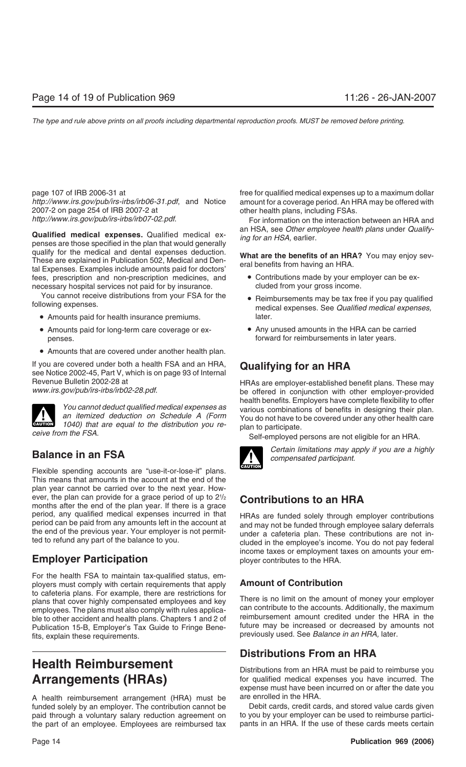*http://www.irs.gov/pub/irs-irbs/irb06-31.pdf*, and Notice amount for a coverage period. An HRA may be offered with 2007-2 on page 254 of IRB 2007-2 at other health plans, including FSAs. http://www.irs.gov/pub/irs-irbs/irb07-02.pdf. For information on the interaction between an HRA and

**Qualified medical expenses.** Qualified medical ex-<br>
penses are those specified in the plan that would generally<br>
qualify for the medical and dental expenses deduction.<br> **What are the benefits of an HPA2** You may onlow soy quality for the filedical and defital experises deduction.<br>These are explained in Publication 502, Medical and Den-<br>tal Expenses. Examples include amounts paid for doctors' fees, prescription and non-prescription medicines, and  $\bullet$  Contributions made by your employer can be exnecessary hospital services not paid for by insurance. cluded from your gross income.

You cannot receive distributions from your FSA for the • Reimbursements may be tax free if you pay qualified following expenses.

- Amounts paid for health insurance premiums. later.
- Amounts paid for long-term care coverage or ex-<br>• Any unused amounts in the HRA can be carried penses. forward for reimbursements in later years.
- Amounts that are covered under another health plan.

If you are covered under both a health FSA and an HRA, **Qualifying for an HRA** see Notice 2002-45, Part V, which is on page 93 of Internal



plan to participate. *ceive from the FSA.* Self-employed persons are not eligible for an HRA.

Flexible spending accounts are "use-it-or-lose-it" plans. This means that amounts in the account at the end of the plan year cannot be carried over to the next year. However, the plan can provide for a grace period of up to  $2\frac{1}{2}$ ever, the plan can provide for a grace period of up to  $2\frac{1}{2}$  **Contributions to an HRA** months after the end of the plan year. If there is a grace

## **Employer Participation** ployer contributes to the HRA.

For the health FSA to maintain tax-qualified status, employers must comply with certain requirements that apply **Amount of Contribution** to cafeteria plans. For example, there are restrictions for<br>plans that cover highly compensated employees and key<br>employees The plans must also comply with rules applica.<br>can contribute to the accounts. Additionally, the m employees. The plans must also comply with rules applica-<br>ble to other accident and bealth plans. Chanters 1 and 2 of elimbursement amount credited under the HRA in the ble to other accident and health plans. Chapters 1 and 2 of Freimbursement amount credited under the HRA in the<br>Publication 15-B, Employer's Tax Guide to Fringe Bene. Future may be increased or decreased by amounts not Publication 15-B, Employer's Tax Guide to Fringe Benefits, explain these requirements. The section of the set of the set of the *see Balance in an HRA*, later.

A health reimbursement arrangement (HRA) must be are enrolled in the HRA. funded solely by an employer. The contribution cannot be Debit cards, credit cards, and stored value cards given paid through a voluntary salary reduction agreement on to you by your employer can be used to reimburse particithe part of an employee. Employees are reimbursed tax pants in an HRA. If the use of these cards meets certain

page 107 of IRB 2006-31 at free for qualified medical expenses up to a maximum dollar

- 
- 
- 

Revenue Bulletin 2002-28 at HRAs are employer-established benefit plans. These may *www.irs.gov/pub/irs-irbs/irb02-28.pdf*. be offered in conjunction with other employer-provided You cannot deduct qualified medical expenses as<br>an itemized deduction on Schedule A (Form You do not have to be covered under any other health care<br>1040) that are equal to the distribution you re-<br>han to participate



**Balance in an FSA** *Certain limitations may apply if you are a highly**compensated participant.* 

period, any qualified medical expenses incurred in that HRAs are funded solely through employer contributions<br>period can be paid from any amounts left in the account at the end of the previous year. Your employer is not pe income taxes or employment taxes on amounts your em-

## **Distributions From an HRA**

**Health Reimbursement**<br>
Distributions from an HRA must be paid to reimburse you<br> **Arrangements (HRAs)** for qualified medical expenses you have incurred. The for qualified medical expenses you have incurred. The expense must have been incurred on or after the date you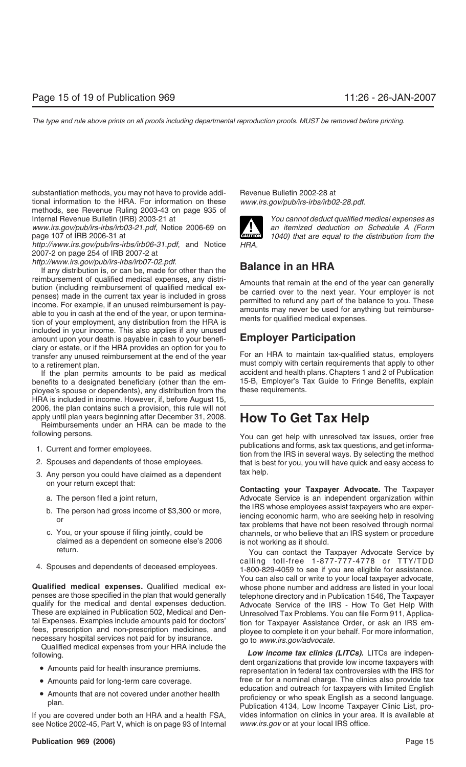substantiation methods, you may not have to provide addi- Revenue Bulletin 2002-28 at tional information to the HRA. For information on these *www.irs.gov/pub/irs-irbs/irb02-28.pdf*. methods, see Revenue Ruling 2003-43 on page 935 of Internal Revenue Bulletin (IRB) 2003-21 at *You cannot deduct qualified medical expenses as*

www.irs.gov/pub/irs-irbs/irb03-21.pdf, Notice 2006-69 on **1999** an itemized deduction on Schedule A (Form page 107 of IRB 2006-31 at **CAUTION** *1040) that are equal to the distribution from the*

*http://www.irs.gov/pub/irs-irbs/irb06-31.pdf*, and Notice *HRA.* 2007-2 on page 254 of IRB 2007-2 at

*http://www.irs.gov/pub/irs-irbs/irb07-02.pdf*.

If any distribution is, or can be, made for other than the **Balance in an HRA** bution (including reimbursement of qualified medical expenses, any distribution (including reimbursement of qualified medical expenses) made in the current tax year is included in gross<br>income. For example, if an unused re included in your income. This also applies if any unused amount upon your death is payable in cash to your benefi- **Employer Participation** ciary or estate, or if the HRA provides an option for you to transfer any unused reimbursement at the end of the year For an HRA to maintain tax-qualified status, employers to a retirement plan. The must comply with certain requirements that apply to other

benefits to a designated beneficiary (other than the em- 15-B, Employer's Tax ployee's spouse or dependents), any distribution from the these requirements. ployee's spouse or dependents), any distribution from the HRA is included in income. However, if, before August 15, 2006, the plan contains such a provision, this rule will not

apply until plan years beginning after December 31, 2008. **How To Get Tax Help** Reimbursements under an HRA can be made to the

- 
- 
- 3. Any person you could have claimed as a dependent tax help.
	-
	-
	- claimed as a dependent on someone else's 2006 is not working as it should.<br>return.
- 

**Qualified medical expenses.** Qualified medical ex- whose phone number and address are listed in your local penses are those specified in the plan that would generally telephone directory and in Publication 1546, The Taxpayer<br>qualify for the medical and dental expenses deduction. Advocate Service of the IRS - How To Get Help Wit qualify for the medical and dental expenses deduction. Advocate Service of the IRS - How To Get Help With<br>These are explained in Publication 502, Medical and Den-<br>Unresolyed Tax Problems, You can file Form 911, Applica-

- 
- 
- 

If you are covered under both an HRA and a health FSA, vides information on clinics in your area. It is available at see Notice 2002-45, Part V, which is on page 93 of Internal *www.irs.gov* or at your local IRS office.



If the plan permits amounts to be paid as medical accident and health plans. Chapters 1 and 2 of Publication<br>nefits to a designated beneficiary (other than the em-<br>15-B, Employer's Tax Guide to Fringe Benefits, explain

following persons. You can get help with unresolved tax issues, order free 1. Current and former employees.<br>
2. Spouses and dependents of those employees.<br>
2. Spouses and dependents of those employees.<br>
2. Spouses and dependents of those employees.<br>
2. Spouses and dependents of those employees. that is best for you, you will have quick and easy access to

on your return except that: **Contacting your Taxpayer Advocate.** The Taxpayer a. The person filed a joint return, The Mathematic Advocate Service is an independent organization within the IRS whose employees assist taxpayers who are exper-<br>or iencing economic harm, who are seeking help in resolving<br>tax problems that have not been resolved through normal<br>c. You, or your spouse if filing jointly, could be channels, or who believe that an IRS system or procedure

You can contact the Taxpayer Advocate Service by calling toll-free 1-877-777-4778 or TTY/TDD<br>1-800-829-4059 to see if you are eligible for assistance. You can also call or write to your local taxpayer advocate, These are explained in Publication 502, Medical and Den-<br>
tal Expenses. Examples include amounts paid for doctors'<br>
fees, prescription and non-prescription medicines, and<br>
necessary hospital services not paid for by insura

• Amounts paid for long-term care coverage. free or for a nominal charge. The clinics also provide tax • Amounts that are not covered under another health<br>proficiency or who speak English as a second language.<br>Publication 4134, Low Income Taxpayer Clinic List, pro-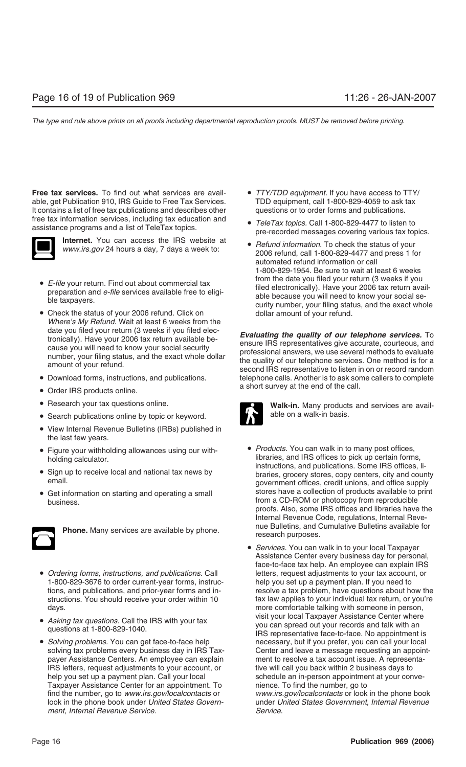**Free tax services.** To find out what services are avail- • *TTY/TDD equipment*. If you have access to TTY/ able, get Publication 910, IRS Guide to Free Tax Services. TDD equipment, call 1-800-829-4059 to ask tax It contains a list of free tax publications and describes other questions or to order forms and publications. free tax information services, including tax education and **•** *TeleTax topics.* Call 1-800-829-4477 to listen to assistance programs and a list of TeleTax topics. <br>pre-recorded messages covering various tax topics.



- 
- Check the status of your 2006 refund. Click on dollar amount of your refund. *Where's My Refund*. Wait at least 6 weeks from the
- 
- Order IRS products online.  $\blacksquare$  a short survey at the end of the call.
- 
- Search publications online by topic or keyword.  $\blacksquare$  able on a walk-in basis.
- View Internal Revenue Bulletins (IRBs) published in the last few years.
- Figure your withholding allowances using our with-<br>• *Products*. You can walk in to many post offices,
- 
- 



- *Ordering forms, instructions, and publications.* Call letters, request adjustments to your tax account, or 1-800-829-3676 to order current-year forms, instruc-<br>help you set up a payment plan. If you need to 1-800-829-3676 to order current-year forms, instrucdays. more comfortable talking with someone in person,
- 
- *Solving problems.* You can get face-to-face help necessary, but if you prefer, you can call your local payer Assistance Centers. An employee can explain ment to resolve a tax account issue. A representa-IRS letters, request adjustments to your account, or tive will call you back within 2 business days to help you set up a payment plan. Call your local schedule an in-person appointment at your conve-Taxpayer Assistance Center for an appointment. To nience. To find the number, go to *ment, Internal Revenue Service*. *Service*.
- 
- 
- Internet. You can access the IRS website at **•** *Refund information.* To check the status of your *www.irs.gov* 24 hours a day, 7 days a week to: 2006 refund, call 1-800-829-4477 and press 1 for automated refund information or call 1-800-829-1954. Be sure to wait at least 6 weeks • *E-file* your return. Find out about commercial tax<br>preparation and *e-file* services available free to eligi-<br>ble taxpayers.<br>ble taxpayers.<br>preparation and *e-file* services available free to eligi-<br>curity number, your

date you filed your return (3 weeks if you filed electronically). Have your 2006 tax return available be-<br>cause you will need to know your social security<br>number, your filing status, and the exact whole dollar<br>amount of yo • Download forms, instructions, and publications. telephone calls. Another is to ask some callers to complete



• Research your tax questions online. **Walk-in.** Many products and services are avail-

- holding calculator.  $\overline{\phantom{a}}$  libraries, and IRS offices to pick up certain forms,<br>instructions, and publications. Some IRS offices, li-• Sign up to receive local and national tax news by braries, grocery stores, copy centers, city and county email. • Get information on starting and operating a small stores have a collection of products available to print business. proofs. Also, some IRS offices and libraries have the Internal Revenue Code, regulations, Internal Revenue Bulletins, and Cumulative Bulletins available for **Phone.** Many services are available by phone. research purposes.
- *Services.* You can walk in to your local Taxpayer Assistance Center every business day for personal, face-to-face tax help. An employee can explain IRS tions, and publications, and prior-year forms and in- resolve a tax problem, have questions about how the structions. You should receive your order within 10 tax law applies to your individual tax return, or you're • Asking tax questions. Call the IRS with your tax<br>questions at 1-800-829-1040.<br>IRS representative face-to-face. No appointment is solving tax problems every business day in IRS Tax- Center and leave a message requesting an appointfind the number, go to *www.irs.gov/localcontacts* or *www.irs.gov/localcontacts* or look in the phone book look in the phone book under *United States Govern-* under *United States Government, Internal Revenue*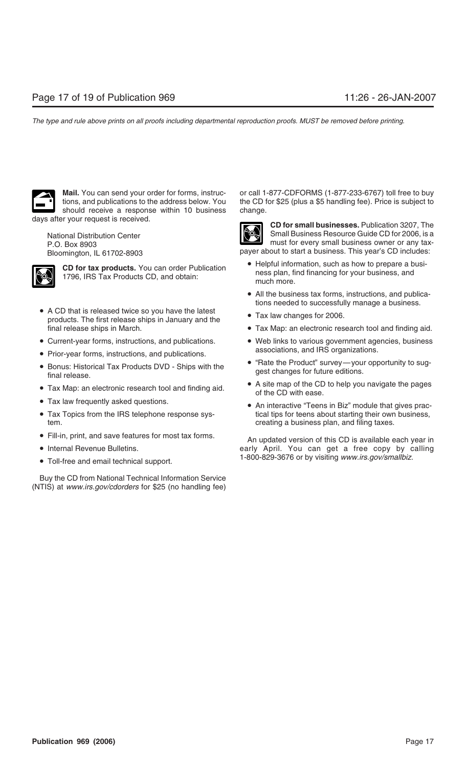should receive a response within 10 business change. days after your request is received. **CD for small businesses.** Publication 3207, The



- A CD that is released twice so you have the latest Tax law changes for 2006.<br>products. The first release ships in January and the
- 
- associations, and IRS organizations. Prior-year forms, instructions, and publications.
- 
- 
- 
- tem. **the creating a business plan, and filing taxes. creating a business plan, and filing taxes.**
- 
- 
- 

Buy the CD from National Technical Information Service (NTIS) at *www.irs.gov/cdorders* for \$25 (no handling fee)

**Mail.** You can send your order for forms, instruc- or call 1-877-CDFORMS (1-877-233-6767) toll free to buy tions, and publications to the address below. You the CD for \$25 (plus a \$5 handling fee). Price is subject to



National Distribution Center Small Business Resource Guide CD for 2006, is a P.O. Box 8903 Bloomington, IL 61702-8903 payer about to start a business. This year's CD includes:

- **CD for tax products.** You can order Publication **CD for tax products.** You can order Publication **e** Helpful information, such as how to prepare a business, and ness plan, find financing for your business, and much more.
	- All the business tax forms, instructions, and publications needed to successfully manage a business.
	-
- final release ships in March. Tax Map: an electronic research tool and finding aid.
- Current-year forms, instructions, and publications. Web links to various government agencies, business
- Bonus: Historical Tax Products DVD Ships with the **•** "Rate the Product" survey—your opportunity to sug-<br>final release.
- Tax Map: an electronic research tool and finding aid. A site map of the CD to help you navigate the pages<br>of the CD with ease.
- Tax law frequently asked questions. • An interactive "Teens in Biz" module that gives prac-• Tax Topics from the IRS telephone response sys-<br>tical tips for teens about starting their own business,

• Fill-in, print, and save features for most tax forms.<br>An updated version of this CD is available each year in • Internal Revenue Bulletins. early April. You can get a free copy by calling 1-800-829-3676 or by visiting *www.irs.gov/smallbiz*. • Toll-free and email technical support.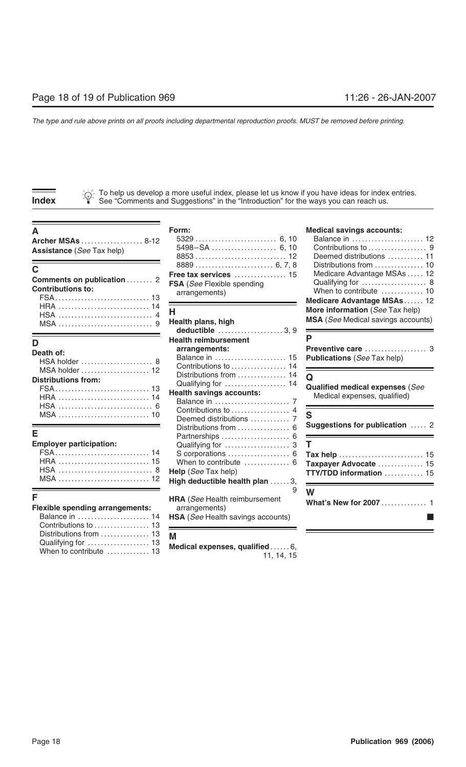To help us develop a more useful index, please let us know if you have ideas for index entries. **Index** See "Comments and Suggestions" in the "Introduction" for the ways you can reach us.<br> **Index** See "Comments and Suggestions" in the "Introduction" for the ways you can reach us.

| Comments on publication  2<br><b>Contributions to:</b>     | FSA (See Flexible spending<br>arrangements) | Medicare Advantage MSAs  12<br>When to contribute  10<br>Medicare Advantage MSAs 12  |
|------------------------------------------------------------|---------------------------------------------|--------------------------------------------------------------------------------------|
| MSA (and the successive contract of the second plans, high |                                             | More information (See Tax help)<br><b>MSA</b> ( <i>See</i> Medical savings accounts) |

| Death of:                  |
|----------------------------|
| HSA holder                 |
| MSA holder  1              |
| <b>Distributions from:</b> |
|                            |
|                            |
| HSA                        |
|                            |

### **Employer participation:**

| Balance in  14         |                        |
|------------------------|------------------------|
|                        |                        |
| Distributions from  13 |                        |
|                        |                        |
|                        | When to contribute  13 |

| $\mathsf{Free}\ \mathsf{tax}\ \mathsf{services}\ \dots\dots\dots\dots\dots\ 15$<br><b>SA</b> (See Flexible spending<br>arrangements) |
|--------------------------------------------------------------------------------------------------------------------------------------|
|                                                                                                                                      |

|                                                                                         | Health plans, high<br>deductible $\ldots$ 3, 9                                             | <b>MSA</b> (See Medical savings accounts)                                          |
|-----------------------------------------------------------------------------------------|--------------------------------------------------------------------------------------------|------------------------------------------------------------------------------------|
| D<br><b>Death of:</b><br>HSA holder  8                                                  | <b>Health reimbursement</b><br>arrangements:<br>Balance in  15<br>Contributions to  14     | <b>Publications (See Tax help)</b>                                                 |
| MSA holder  12<br><b>Distributions from:</b>                                            | Distributions from  14<br>Qualifying for  14<br><b>Health savings accounts:</b>            | $\Omega$<br><b>Qualified medical expenses (See</b><br>Medical expenses, qualified) |
| F                                                                                       | Contributions to  4<br>Deemed distributions  7<br>Distributions from                       | Suggestions for publication  2                                                     |
| <b>Employer participation:</b>                                                          | When to contribute  6<br>Help (See Tax help)<br>High deductible health plan  3,            | Tax help  15<br>Taxpayer Advocate  15<br>TTY/TDD information  15                   |
| F<br><b>Flexible spending arrangements:</b><br>Balance in  14<br>Contributions to<br>13 | <b>HRA</b> (See Health reimbursement<br>arrangements)<br>HSA (See Health savings accounts) | W<br>What's New for 2007 1                                                         |

M<br>Medical expenses, qualified……. 6,<br>11, 14, 15

### A **A Form:** Form: **Form: Redical savings accounts:**

| Archer MSAs  8-12<br><b>Assistance</b> (See Tax help)        |                                                            | Balance in  12<br>Deemed distributions  11                                                                    |
|--------------------------------------------------------------|------------------------------------------------------------|---------------------------------------------------------------------------------------------------------------|
| C.<br>Comments on publication  2<br><b>Contributions to:</b> | <b>FSA</b> ( <i>See</i> Flexible spending<br>arrangements) | Distributions from  10<br>Medicare Advantage MSAs  12<br>When to contribute  10<br>Medicare Advantage MSAs 12 |
|                                                              | Health plans, high                                         | More information (See Tax help)<br><b>MSA</b> ( <i>See</i> Medical savings accounts)                          |

| Preventive care  3                 |  |
|------------------------------------|--|
| <b>Publications</b> (See Tax help) |  |

| Е                                           | Deemed gistinguions  7                                                                         | Suggestions for publication  2                                                                           |
|---------------------------------------------|------------------------------------------------------------------------------------------------|----------------------------------------------------------------------------------------------------------|
| <b>Employer participation:</b>              | Qualifying for $\dots\dots\dots\dots\dots\dots$ 3 $\top$<br><b>Help</b> ( <i>See</i> Tax help) | S corporations  6 Tax help  15<br>When to contribute  6 Taxpayer Advocate  15<br>TTY/TDD information  15 |
| F<br><b>Flexible spending arrangements:</b> | <b>HRA</b> (See Health reimbursement<br>arrangements)                                          | W<br>What's New for 2007  1                                                                              |